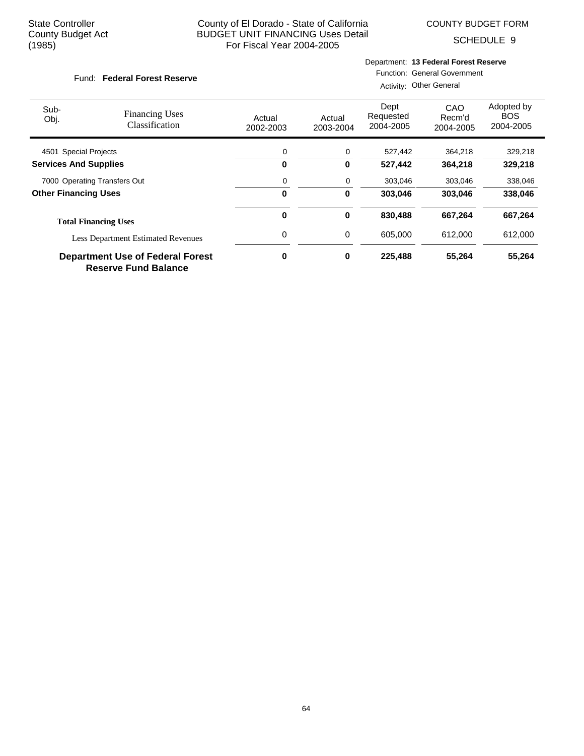SCHEDULE 9

#### Fund: Federal Forest Reserve

# Department: **13 Federal Forest Reserve**

Function: General Government Activity: Other General

| Sub-<br>Obj.                 | <b>Financing Uses</b><br>Classification                                | Actual<br>2002-2003 | Actual<br>2003-2004 | Dept<br>Requested<br>2004-2005 | CAO<br>Recm'd<br>2004-2005 | Adopted by<br><b>BOS</b><br>2004-2005 |
|------------------------------|------------------------------------------------------------------------|---------------------|---------------------|--------------------------------|----------------------------|---------------------------------------|
| 4501 Special Projects        |                                                                        | 0                   | 0                   | 527,442                        | 364,218                    | 329,218                               |
| <b>Services And Supplies</b> |                                                                        | 0                   | 0                   | 527.442                        | 364,218                    | 329,218                               |
|                              | 7000 Operating Transfers Out                                           | 0                   | 0                   | 303,046                        | 303,046                    | 338,046                               |
| <b>Other Financing Uses</b>  |                                                                        | 0                   | 0                   | 303.046                        | 303.046                    | 338,046                               |
|                              | <b>Total Financing Uses</b>                                            | $\bf{0}$            | 0                   | 830,488                        | 667,264                    | 667,264                               |
|                              | <b>Less Department Estimated Revenues</b>                              | 0                   | 0                   | 605.000                        | 612,000                    | 612,000                               |
|                              | <b>Department Use of Federal Forest</b><br><b>Reserve Fund Balance</b> | 0                   | 0                   | 225,488                        | 55,264                     | 55,264                                |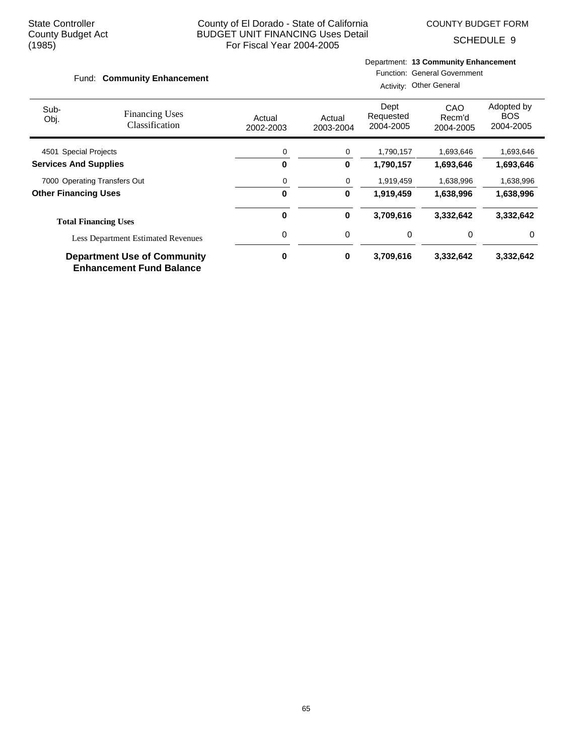SCHEDULE 9

#### Fund: Community Enhancement

# Department: **13 Community Enhancement**

Function: General Government

|                              |                                                                       |                     |                     | Activity: Other General        |                            |                                       |
|------------------------------|-----------------------------------------------------------------------|---------------------|---------------------|--------------------------------|----------------------------|---------------------------------------|
| Sub-<br>Obj.                 | <b>Financing Uses</b><br>Classification                               | Actual<br>2002-2003 | Actual<br>2003-2004 | Dept<br>Requested<br>2004-2005 | CAO<br>Recm'd<br>2004-2005 | Adopted by<br><b>BOS</b><br>2004-2005 |
| 4501 Special Projects        |                                                                       | 0                   | 0                   | 1,790,157                      | 1,693,646                  | 1,693,646                             |
| <b>Services And Supplies</b> |                                                                       | 0                   | 0                   | 1,790,157                      | 1,693,646                  | 1,693,646                             |
|                              | 7000 Operating Transfers Out                                          | 0                   | 0                   | 1,919,459                      | 1,638,996                  | 1,638,996                             |
| <b>Other Financing Uses</b>  |                                                                       | 0                   | 0                   | 1,919,459                      | 1,638,996                  | 1,638,996                             |
|                              | <b>Total Financing Uses</b>                                           | 0                   | 0                   | 3,709,616                      | 3,332,642                  | 3,332,642                             |
|                              | <b>Less Department Estimated Revenues</b>                             | 0                   | 0                   | 0                              | 0                          | 0                                     |
|                              | <b>Department Use of Community</b><br><b>Enhancement Fund Balance</b> | 0                   | 0                   | 3,709,616                      | 3,332,642                  | 3,332,642                             |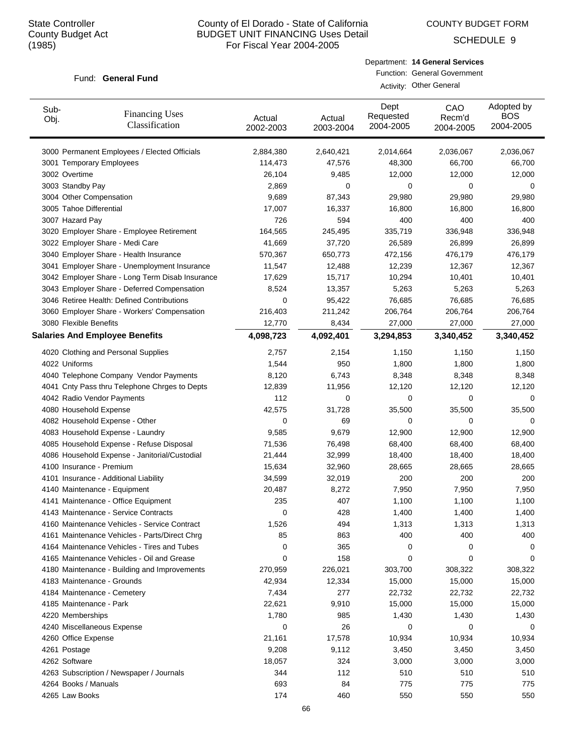COUNTY BUDGET FORM

SCHEDULE 9

#### Fund: General Fund

| Department: 14 General Services     |
|-------------------------------------|
| <b>Function: General Government</b> |
| Activity: Other General             |

| Sub-<br>Obj. | <b>Financing Uses</b><br>Classification         | Actual<br>2002-2003 | Actual<br>2003-2004 | Dept<br>Requested<br>2004-2005 | CAO<br>Recm'd<br>2004-2005 | Adopted by<br><b>BOS</b><br>2004-2005 |
|--------------|-------------------------------------------------|---------------------|---------------------|--------------------------------|----------------------------|---------------------------------------|
|              | 3000 Permanent Employees / Elected Officials    | 2,884,380           | 2,640,421           | 2,014,664                      | 2,036,067                  | 2,036,067                             |
|              | 3001 Temporary Employees                        | 114,473             | 47,576              | 48,300                         | 66,700                     | 66,700                                |
|              | 3002 Overtime                                   | 26,104              | 9,485               | 12,000                         | 12,000                     | 12,000                                |
|              | 3003 Standby Pay                                | 2,869               | 0                   | 0                              | 0                          | 0                                     |
|              | 3004 Other Compensation                         | 9,689               | 87,343              | 29,980                         | 29,980                     | 29,980                                |
|              | 3005 Tahoe Differential                         | 17,007              | 16,337              | 16,800                         | 16,800                     | 16,800                                |
|              | 3007 Hazard Pay                                 | 726                 | 594                 | 400                            | 400                        | 400                                   |
|              | 3020 Employer Share - Employee Retirement       | 164,565             | 245,495             | 335,719                        | 336,948                    | 336,948                               |
|              | 3022 Employer Share - Medi Care                 | 41,669              | 37,720              | 26,589                         | 26,899                     | 26,899                                |
|              | 3040 Employer Share - Health Insurance          | 570,367             | 650,773             | 472,156                        | 476,179                    | 476,179                               |
|              | 3041 Employer Share - Unemployment Insurance    | 11,547              | 12,488              | 12,239                         | 12,367                     | 12,367                                |
|              | 3042 Employer Share - Long Term Disab Insurance | 17,629              | 15,717              | 10,294                         | 10,401                     | 10,401                                |
|              | 3043 Employer Share - Deferred Compensation     | 8,524               | 13,357              | 5,263                          | 5,263                      | 5,263                                 |
|              | 3046 Retiree Health: Defined Contributions      | 0                   | 95,422              | 76,685                         | 76,685                     | 76,685                                |
|              | 3060 Employer Share - Workers' Compensation     | 216,403             | 211,242             | 206,764                        | 206,764                    | 206,764                               |
|              | 3080 Flexible Benefits                          | 12,770              | 8,434               | 27,000                         | 27,000                     | 27,000                                |
|              | <b>Salaries And Employee Benefits</b>           | 4,098,723           | 4,092,401           | 3,294,853                      | 3,340,452                  | 3,340,452                             |
|              | 4020 Clothing and Personal Supplies             | 2,757               | 2,154               | 1,150                          | 1,150                      | 1,150                                 |
|              | 4022 Uniforms                                   | 1,544               | 950                 | 1,800                          | 1,800                      | 1,800                                 |
|              | 4040 Telephone Company Vendor Payments          | 8,120               | 6,743               | 8,348                          | 8,348                      | 8,348                                 |
|              | 4041 Cnty Pass thru Telephone Chrges to Depts   | 12,839              | 11,956              | 12,120                         | 12,120                     | 12,120                                |
|              | 4042 Radio Vendor Payments                      | 112                 | 0                   | 0                              | 0                          | 0                                     |
|              | 4080 Household Expense                          | 42,575              | 31,728              | 35,500                         | 35,500                     | 35,500                                |
|              | 4082 Household Expense - Other                  | 0                   | 69                  | 0                              | 0                          | 0                                     |
|              | 4083 Household Expense - Laundry                | 9,585               | 9,679               | 12,900                         | 12,900                     | 12,900                                |
|              | 4085 Household Expense - Refuse Disposal        | 71,536              | 76,498              | 68,400                         | 68,400                     | 68,400                                |
|              | 4086 Household Expense - Janitorial/Custodial   | 21,444              | 32,999              | 18,400                         | 18,400                     | 18,400                                |
|              | 4100 Insurance - Premium                        | 15,634              | 32,960              | 28,665                         | 28,665                     | 28,665                                |
|              | 4101 Insurance - Additional Liability           | 34,599              | 32,019              | 200                            | 200                        | 200                                   |
|              | 4140 Maintenance - Equipment                    | 20,487              | 8,272               | 7,950                          | 7,950                      | 7,950                                 |
|              | 4141 Maintenance - Office Equipment             | 235                 | 407                 | 1,100                          | 1,100                      | 1,100                                 |
|              | 4143 Maintenance - Service Contracts            | 0                   | 428                 | 1,400                          | 1,400                      | 1,400                                 |
|              | 4160 Maintenance Vehicles - Service Contract    | 1,526               | 494                 | 1,313                          | 1,313                      | 1,313                                 |
|              | 4161 Maintenance Vehicles - Parts/Direct Chrg   | 85                  | 863                 | 400                            | 400                        | 400                                   |
|              | 4164 Maintenance Vehicles - Tires and Tubes     | 0                   | 365                 | 0                              | 0                          | 0                                     |
|              | 4165 Maintenance Vehicles - Oil and Grease      | 0                   | 158                 | 0                              | 0                          | 0                                     |
|              | 4180 Maintenance - Building and Improvements    | 270,959             | 226,021             | 303,700                        | 308,322                    | 308,322                               |
|              | 4183 Maintenance - Grounds                      | 42,934              | 12,334              | 15,000                         | 15,000                     | 15,000                                |
|              | 4184 Maintenance - Cemetery                     | 7,434               | 277                 | 22,732                         | 22,732                     | 22,732                                |
|              | 4185 Maintenance - Park                         | 22,621              | 9,910               | 15,000                         | 15,000                     | 15,000                                |
|              | 4220 Memberships                                | 1,780               | 985                 | 1,430                          | 1,430                      | 1,430                                 |
|              | 4240 Miscellaneous Expense                      | 0                   | 26                  | 0                              | 0                          | 0                                     |
|              | 4260 Office Expense                             | 21,161              | 17,578              | 10,934                         | 10,934                     | 10,934                                |
|              | 4261 Postage                                    | 9,208               | 9,112               | 3,450                          | 3,450                      | 3,450                                 |
|              | 4262 Software                                   | 18,057              | 324                 | 3,000                          | 3,000                      | 3,000                                 |
|              | 4263 Subscription / Newspaper / Journals        | 344                 | 112                 | 510                            | 510                        | 510                                   |
|              | 4264 Books / Manuals                            | 693                 | 84                  | 775                            | 775                        | 775                                   |
|              | 4265 Law Books                                  | 174                 | 460                 | 550                            | 550                        | 550                                   |
|              |                                                 |                     |                     |                                |                            |                                       |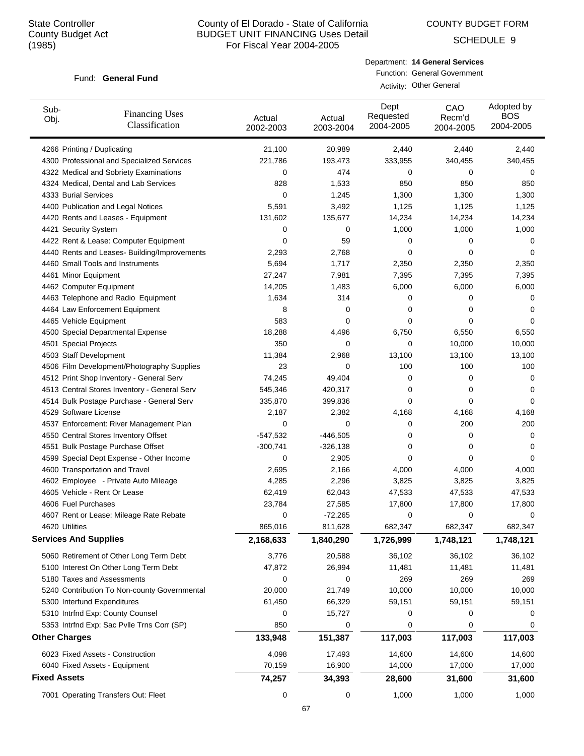COUNTY BUDGET FORM

SCHEDULE 9

#### Fund: General Fund

Department: **14 General Services** Function: General Government Activity: Other General

| Sub-<br>Obj.                 | <b>Financing Uses</b><br>Classification      | Actual<br>2002-2003 | Actual<br>2003-2004 | Dept<br>Requested<br>2004-2005 | CAO<br>Recm'd<br>2004-2005 | Adopted by<br><b>BOS</b><br>2004-2005 |
|------------------------------|----------------------------------------------|---------------------|---------------------|--------------------------------|----------------------------|---------------------------------------|
| 4266 Printing / Duplicating  |                                              | 21,100              | 20,989              | 2,440                          | 2,440                      | 2,440                                 |
|                              | 4300 Professional and Specialized Services   | 221,786             | 193,473             | 333,955                        | 340,455                    | 340,455                               |
|                              | 4322 Medical and Sobriety Examinations       | 0                   | 474                 | 0                              | 0                          | 0                                     |
|                              | 4324 Medical, Dental and Lab Services        | 828                 | 1,533               | 850                            | 850                        | 850                                   |
| 4333 Burial Services         |                                              | 0                   | 1,245               | 1,300                          | 1,300                      | 1,300                                 |
|                              | 4400 Publication and Legal Notices           | 5,591               | 3,492               | 1,125                          | 1,125                      | 1,125                                 |
|                              | 4420 Rents and Leases - Equipment            | 131,602             | 135,677             | 14,234                         | 14,234                     | 14,234                                |
| 4421 Security System         |                                              | 0                   | 0                   | 1,000                          | 1,000                      | 1,000                                 |
|                              | 4422 Rent & Lease: Computer Equipment        | 0                   | 59                  | 0                              | 0                          | 0                                     |
|                              | 4440 Rents and Leases- Building/Improvements | 2,293               | 2,768               | 0                              | 0                          | 0                                     |
|                              | 4460 Small Tools and Instruments             | 5,694               | 1,717               | 2,350                          | 2,350                      | 2,350                                 |
| 4461 Minor Equipment         |                                              | 27,247              | 7,981               | 7,395                          | 7,395                      | 7,395                                 |
| 4462 Computer Equipment      |                                              | 14,205              | 1,483               | 6,000                          | 6,000                      | 6,000                                 |
|                              | 4463 Telephone and Radio Equipment           | 1,634               | 314                 | 0                              | 0                          | 0                                     |
|                              | 4464 Law Enforcement Equipment               | 8                   | 0                   | 0                              | 0                          | 0                                     |
| 4465 Vehicle Equipment       |                                              | 583                 | 0                   | 0                              | 0                          | 0                                     |
|                              | 4500 Special Departmental Expense            | 18,288              | 4,496               | 6,750                          | 6,550                      | 6,550                                 |
| 4501 Special Projects        |                                              | 350                 | 0                   | 0                              | 10,000                     | 10,000                                |
| 4503 Staff Development       |                                              | 11,384              | 2,968               | 13,100                         | 13,100                     | 13,100                                |
|                              | 4506 Film Development/Photography Supplies   | 23                  | 0                   | 100                            | 100                        | 100                                   |
|                              | 4512 Print Shop Inventory - General Serv     | 74,245              | 49,404              | 0                              | 0                          | 0                                     |
|                              | 4513 Central Stores Inventory - General Serv | 545,346             | 420,317             | 0                              | 0                          | 0                                     |
|                              | 4514 Bulk Postage Purchase - General Serv    | 335,870             | 399,836             | 0                              | 0                          | 0                                     |
| 4529 Software License        |                                              | 2,187               | 2,382               | 4,168                          | 4,168                      | 4,168                                 |
|                              | 4537 Enforcement: River Management Plan      | 0                   | 0                   | 0                              | 200                        | 200                                   |
|                              | 4550 Central Stores Inventory Offset         | $-547,532$          | $-446,505$          | 0                              | $\mathbf 0$                | 0                                     |
|                              | 4551 Bulk Postage Purchase Offset            | $-300,741$          | $-326,138$          | 0                              | 0                          | 0                                     |
|                              | 4599 Special Dept Expense - Other Income     | 0                   | 2,905               | 0                              | 0                          | 0                                     |
|                              | 4600 Transportation and Travel               | 2,695               | 2,166               | 4,000                          | 4,000                      | 4,000                                 |
|                              | 4602 Employee - Private Auto Mileage         | 4,285               | 2,296               | 3,825                          | 3,825                      | 3,825                                 |
|                              | 4605 Vehicle - Rent Or Lease                 | 62,419              | 62,043              | 47,533                         | 47,533                     | 47,533                                |
| 4606 Fuel Purchases          |                                              | 23,784              | 27,585              | 17,800                         | 17,800                     | 17,800                                |
|                              | 4607 Rent or Lease: Mileage Rate Rebate      | 0                   | $-72,265$           | 0                              | $\mathbf 0$                | 0                                     |
| 4620 Utilities               |                                              | 865,016             | 811,628             | 682,347                        | 682,347                    | 682,347                               |
| <b>Services And Supplies</b> |                                              | 2,168,633           | 1,840,290           | 1,726,999                      | 1,748,121                  | 1,748,121                             |
|                              | 5060 Retirement of Other Long Term Debt      | 3,776               | 20,588              | 36,102                         | 36,102                     | 36,102                                |
|                              | 5100 Interest On Other Long Term Debt        | 47,872              | 26,994              | 11,481                         | 11,481                     | 11,481                                |
|                              | 5180 Taxes and Assessments                   | 0                   | 0                   | 269                            | 269                        | 269                                   |
|                              | 5240 Contribution To Non-county Governmental | 20,000              | 21,749              | 10,000                         | 10,000                     | 10,000                                |
|                              | 5300 Interfund Expenditures                  | 61,450              | 66,329              | 59,151                         | 59,151                     | 59,151                                |
|                              | 5310 Intrfnd Exp: County Counsel             | 0                   | 15,727              | 0                              | 0                          | 0                                     |
|                              | 5353 Intrfnd Exp: Sac Pvlle Trns Corr (SP)   | 850                 | 0                   | 0                              | 0                          | 0                                     |
| <b>Other Charges</b>         |                                              | 133,948             | 151,387             | 117,003                        | 117,003                    | 117,003                               |
|                              | 6023 Fixed Assets - Construction             | 4,098               | 17,493              | 14,600                         | 14,600                     | 14,600                                |
|                              | 6040 Fixed Assets - Equipment                | 70,159              | 16,900              | 14,000                         | 17,000                     | 17,000                                |
| <b>Fixed Assets</b>          |                                              | 74,257              | 34,393              | 28,600                         | 31,600                     | 31,600                                |
|                              | 7001 Operating Transfers Out: Fleet          | 0                   | 0                   | 1,000                          | 1,000                      | 1,000                                 |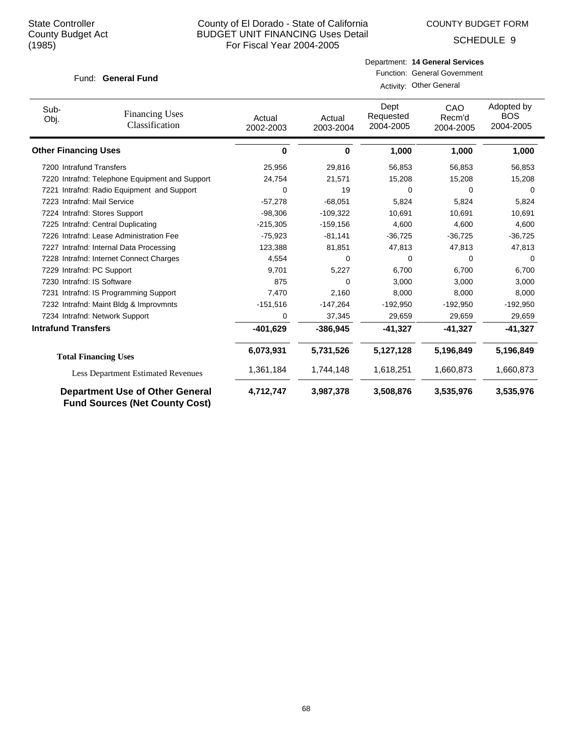COUNTY BUDGET FORM

SCHEDULE 9

#### Fund: General Fund

# Department: **14 General Services** Function: General Government Activity: Other General

| Sub-<br>Obj.                | <b>Financing Uses</b><br>Classification                                         | Actual<br>2002-2003 | Actual<br>2003-2004 | Dept<br>Requested<br>2004-2005 | CAO<br>Recm'd<br>2004-2005 | Adopted by<br><b>BOS</b><br>2004-2005 |
|-----------------------------|---------------------------------------------------------------------------------|---------------------|---------------------|--------------------------------|----------------------------|---------------------------------------|
| <b>Other Financing Uses</b> |                                                                                 | 0                   | 0                   | 1,000                          | 1,000                      | 1,000                                 |
|                             | 7200 Intrafund Transfers                                                        | 25,956              | 29,816              | 56,853                         | 56,853                     | 56,853                                |
|                             | 7220 Intrafnd: Telephone Equipment and Support                                  | 24,754              | 21,571              | 15,208                         | 15,208                     | 15,208                                |
|                             | 7221 Intrafnd: Radio Equipment and Support                                      | 0                   | 19                  | $\Omega$                       | $\Omega$                   | 0                                     |
|                             | 7223 Intrafnd: Mail Service                                                     | $-57,278$           | $-68,051$           | 5,824                          | 5,824                      | 5,824                                 |
|                             | 7224 Intrafnd: Stores Support                                                   | $-98,306$           | $-109,322$          | 10,691                         | 10,691                     | 10,691                                |
|                             | 7225 Intrafnd: Central Duplicating                                              | $-215,305$          | $-159, 156$         | 4,600                          | 4,600                      | 4,600                                 |
|                             | 7226 Intrafnd: Lease Administration Fee                                         | $-75,923$           | $-81,141$           | $-36,725$                      | $-36,725$                  | $-36,725$                             |
|                             | 7227 Intrafnd: Internal Data Processing                                         | 123,388             | 81,851              | 47,813                         | 47,813                     | 47,813                                |
|                             | 7228 Intrafnd: Internet Connect Charges                                         | 4,554               | 0                   | 0                              | <sup>0</sup>               | 0                                     |
|                             | 7229 Intrafnd: PC Support                                                       | 9,701               | 5,227               | 6,700                          | 6,700                      | 6,700                                 |
|                             | 7230 Intrafnd: IS Software                                                      | 875                 | 0                   | 3,000                          | 3,000                      | 3,000                                 |
|                             | 7231 Intrafnd: IS Programming Support                                           | 7,470               | 2,160               | 8,000                          | 8,000                      | 8,000                                 |
|                             | 7232 Intrafnd: Maint Bldg & Improvmnts                                          | $-151,516$          | $-147,264$          | $-192,950$                     | $-192,950$                 | $-192,950$                            |
|                             | 7234 Intrafnd: Network Support                                                  | 0                   | 37,345              | 29,659                         | 29,659                     | 29,659                                |
| <b>Intrafund Transfers</b>  |                                                                                 | $-401,629$          | $-386,945$          | $-41,327$                      | $-41,327$                  | $-41,327$                             |
|                             | <b>Total Financing Uses</b>                                                     | 6,073,931           | 5,731,526           | 5,127,128                      | 5,196,849                  | 5,196,849                             |
|                             | <b>Less Department Estimated Revenues</b>                                       | 1,361,184           | 1,744,148           | 1,618,251                      | 1,660,873                  | 1,660,873                             |
|                             | <b>Department Use of Other General</b><br><b>Fund Sources (Net County Cost)</b> | 4,712,747           | 3,987,378           | 3,508,876                      | 3,535,976                  | 3,535,976                             |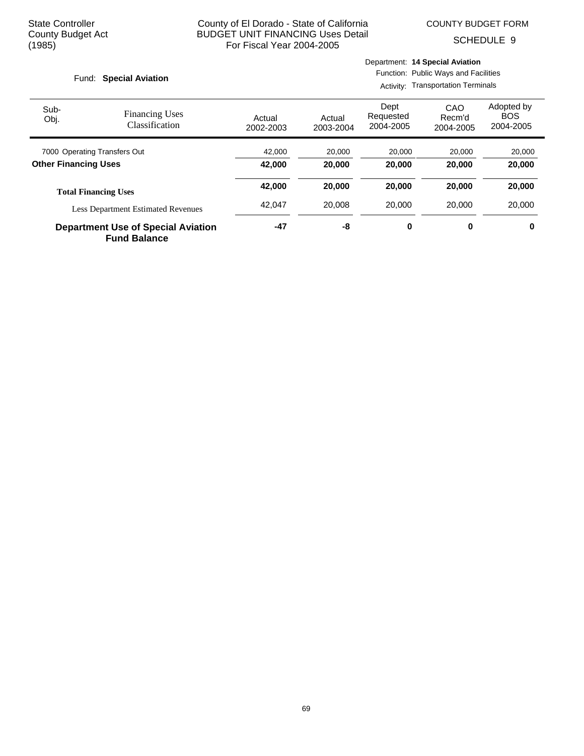SCHEDULE 9

#### Fund: Special Aviation

Activity: Transportation Terminals

| Sub-<br>Obj.                | <b>Financing Uses</b><br>Classification   | Actual<br>2002-2003 | Actual<br>2003-2004 | Dept<br>Requested<br>2004-2005 | CAO<br>Recm'd<br>2004-2005 | Adopted by<br><b>BOS</b><br>2004-2005 |
|-----------------------------|-------------------------------------------|---------------------|---------------------|--------------------------------|----------------------------|---------------------------------------|
|                             | 7000 Operating Transfers Out              | 42,000              | 20,000              | 20,000                         | 20,000                     | 20,000                                |
| <b>Other Financing Uses</b> |                                           | 42.000              | 20,000              | 20,000                         | 20,000                     | 20,000                                |
|                             | <b>Total Financing Uses</b>               | 42,000              | 20,000              | 20,000                         | 20,000                     | 20,000                                |
|                             | <b>Less Department Estimated Revenues</b> | 42.047              | 20.008              | 20,000                         | 20,000                     | 20,000                                |
|                             | <b>Department Use of Special Aviation</b> | -47                 | -8                  | 0                              | 0                          | 0                                     |

**Fund Balance**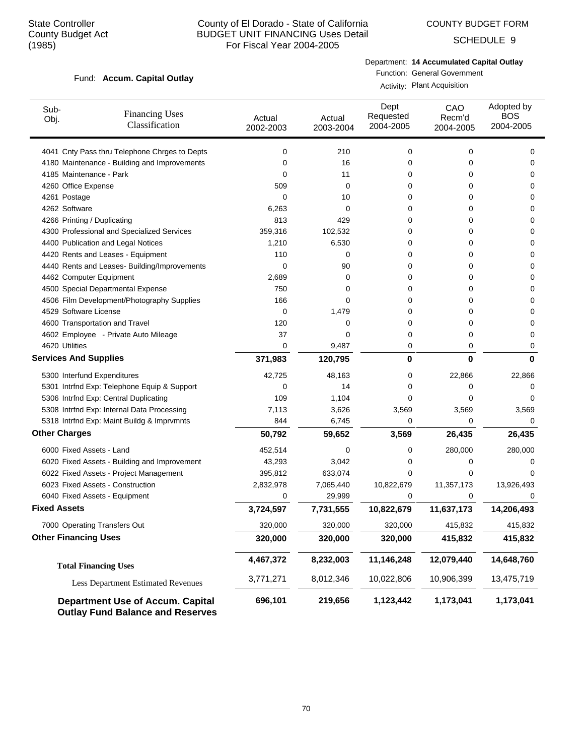COUNTY BUDGET FORM

SCHEDULE 9

#### Fund: Accum. Capital Outlay

Department: **14 Accumulated Capital Outlay**

Function: General Government Activity: Plant Acquisition

| Sub-<br>Obj.                       | <b>Financing Uses</b><br>Classification                                            | Actual<br>2002-2003 | Actual<br>2003-2004 | Dept<br>Requested<br>2004-2005 | CAO<br>Recm'd<br>2004-2005 | Adopted by<br><b>BOS</b><br>2004-2005 |
|------------------------------------|------------------------------------------------------------------------------------|---------------------|---------------------|--------------------------------|----------------------------|---------------------------------------|
|                                    | 4041 Cnty Pass thru Telephone Chrges to Depts                                      | 0                   | 210                 | 0                              | 0                          | 0                                     |
|                                    | 4180 Maintenance - Building and Improvements                                       | 0                   | 16                  | 0                              | 0                          | 0                                     |
| 4185 Maintenance - Park            |                                                                                    | 0                   | 11                  | 0                              | 0                          | 0                                     |
| 4260 Office Expense                |                                                                                    | 509                 | 0                   | 0                              | 0                          | 0                                     |
| 4261 Postage                       |                                                                                    | 0                   | 10                  | 0                              | 0                          | 0                                     |
| 4262 Software                      |                                                                                    | 6,263               | 0                   | 0                              | 0                          | 0                                     |
| 4266 Printing / Duplicating        |                                                                                    | 813                 | 429                 | 0                              | 0                          | 0                                     |
|                                    | 4300 Professional and Specialized Services                                         | 359,316             | 102,532             | 0                              | 0                          | 0                                     |
| 4400 Publication and Legal Notices |                                                                                    | 1,210               | 6,530               | 0                              | 0                          | 0                                     |
|                                    | 4420 Rents and Leases - Equipment                                                  | 110                 | 0                   | 0                              | 0                          | 0                                     |
|                                    | 4440 Rents and Leases- Building/Improvements                                       | 0                   | 90                  | 0                              | 0                          | 0                                     |
| 4462 Computer Equipment            |                                                                                    | 2,689               | 0                   | 0                              | 0                          | 0                                     |
|                                    | 4500 Special Departmental Expense                                                  | 750                 | 0                   | 0                              | 0                          | 0                                     |
|                                    | 4506 Film Development/Photography Supplies                                         | 166                 | 0                   | 0                              | 0                          | 0                                     |
| 4529 Software License              |                                                                                    | 0                   | 1,479               | 0                              | 0                          | 0                                     |
| 4600 Transportation and Travel     |                                                                                    | 120                 | 0                   | 0                              | 0                          | 0                                     |
|                                    | 4602 Employee - Private Auto Mileage                                               | 37                  | 0                   | 0                              | 0                          | 0                                     |
| 4620 Utilities                     |                                                                                    | 0                   | 9,487               | 0                              | 0                          | 0                                     |
| <b>Services And Supplies</b>       |                                                                                    | 371,983             | 120,795             | 0                              | $\bf{0}$                   | $\bf{0}$                              |
| 5300 Interfund Expenditures        |                                                                                    | 42,725              | 48,163              | 0                              | 22,866                     | 22,866                                |
|                                    | 5301 Intrfnd Exp: Telephone Equip & Support                                        | 0                   | 14                  | 0                              | 0                          | 0                                     |
|                                    | 5306 Intrfnd Exp: Central Duplicating                                              | 109                 | 1,104               | 0                              | 0                          | 0                                     |
|                                    | 5308 Intrfnd Exp: Internal Data Processing                                         | 7,113               | 3,626               | 3,569                          | 3,569                      | 3,569                                 |
|                                    | 5318 Intrfnd Exp: Maint Buildg & Imprvmnts                                         | 844                 | 6,745               | 0                              | 0                          | 0                                     |
| <b>Other Charges</b>               |                                                                                    | 50,792              | 59,652              | 3,569                          | 26,435                     | 26,435                                |
| 6000 Fixed Assets - Land           |                                                                                    | 452,514             | 0                   | 0                              | 280,000                    | 280,000                               |
|                                    | 6020 Fixed Assets - Building and Improvement                                       | 43,293              | 3,042               | 0                              | 0                          | 0                                     |
|                                    | 6022 Fixed Assets - Project Management                                             | 395,812             | 633,074             | 0                              | 0                          | 0                                     |
| 6023 Fixed Assets - Construction   |                                                                                    | 2,832,978           | 7,065,440           | 10,822,679                     | 11,357,173                 | 13,926,493                            |
| 6040 Fixed Assets - Equipment      |                                                                                    | 0                   | 29,999              | 0                              | 0                          | 0                                     |
| <b>Fixed Assets</b>                |                                                                                    | 3,724,597           | 7,731,555           | 10,822,679                     | 11,637,173                 | 14,206,493                            |
| 7000 Operating Transfers Out       |                                                                                    | 320,000             | 320,000             | 320,000                        | 415,832                    | 415,832                               |
| <b>Other Financing Uses</b>        |                                                                                    | 320,000             | 320,000             | 320,000                        | 415,832                    | 415,832                               |
| <b>Total Financing Uses</b>        |                                                                                    | 4,467,372           | 8,232,003           | 11,146,248                     | 12,079,440                 | 14,648,760                            |
|                                    | Less Department Estimated Revenues                                                 | 3,771,271           | 8,012,346           | 10,022,806                     | 10,906,399                 | 13,475,719                            |
|                                    | <b>Department Use of Accum. Capital</b><br><b>Outlay Fund Balance and Reserves</b> | 696,101             | 219,656             | 1,123,442                      | 1,173,041                  | 1,173,041                             |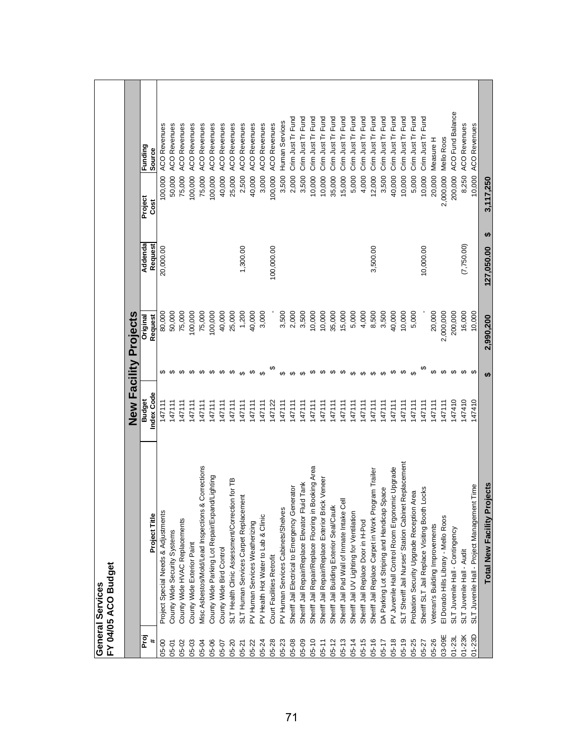|            | FY 04/05 ACO Budget<br>General Services                   |                             |                        |                       |                    |                 |                              |
|------------|-----------------------------------------------------------|-----------------------------|------------------------|-----------------------|--------------------|-----------------|------------------------------|
|            |                                                           |                             |                        | New Facility Projects |                    |                 |                              |
| Proj<br>#  | Project Title                                             | Index Code<br><b>Budget</b> |                        | Request<br>Original   | Addenda<br>Request | Project<br>Cost | Funding<br>Source            |
| 05-00      | Project Special Needs & Adjustments                       | 147111                      |                        | 80,000                | 20,000.00          | 100,000         | <b>ACO Revenues</b>          |
| 05-01      | County Wide Security Systems                              | 147111                      | မှာ မှာ                | 50,000                |                    | 50,000          | <b>ACO Revenues</b>          |
| 05-02      | County Wide HVAC Replacements                             | 147111                      |                        | 75,000                |                    | 75,000          | <b>ACO Revenues</b>          |
| 05-03      | County Wide Exterior Paint                                | 147111                      |                        | 100,000               |                    | 100,000         | <b>ACO Revenues</b>          |
| 05-04      | Misc Asbestos/Mold/Lead Inspections & Corrections         | 147111                      |                        | 75,000                |                    | 75,000          | <b>ACO Revenues</b>          |
| 05-06      | County Wide Parking Lot Repair/Expand/Lighting            | 147111                      | <del>ഗഗഗഗ</del>        | 100,000               |                    | 100,000         | <b>ACO Revenues</b>          |
| 05-07      | County Wide Bird Control                                  | 147111                      |                        | 40,000                |                    | 40,000          | Revenues<br>ACO <sub>I</sub> |
| 05-20      | SLT Health Clinic Assessment/Correction for TB            | 147111                      | ക                      | 25,000                |                    | 25,000          | <b>ACO Revenues</b>          |
| $05 - 21$  | ament<br>SLT Human Services Carpet Replace                | 147111                      | $\boldsymbol{\varphi}$ | 1,200                 | 1,300.00           | 2,500           | <b>ACO Revenues</b>          |
| 05-22      | PV Human Services Weatherizing                            | 147111                      | ↮                      | 40,000                |                    | 40,000          | <b>ACO Revenues</b>          |
| 05-24      | PV Health Hot Water to Lab & Clinic                       | 147111                      | $\theta$               | 3,000                 |                    | 3,000           | <b>ACO Revenues</b>          |
| 05-28      | Court Facilities Retrofit                                 | 147122                      |                        |                       | 100,000.00         | 100,000         | <b>ACO Revenues</b>          |
| 05-23      | PV Human Services Cabinets/Shelves                        | 147111                      | $\boldsymbol{\varphi}$ | 3,500                 |                    | 3,500           | Human Services               |
| 05-08      | Sheriff Jail Electrical to Emergency Generator            | 147111                      | $\boldsymbol{\varphi}$ | 2,000                 |                    | 2,000           | Crim Just Tr Fund            |
| 05-09      | Sheriff Jail Repair/Replace Elevator Fluid Tank           | 147111                      | $\boldsymbol{\varphi}$ | 3,500                 |                    | 3,500           | Crim Just Tr Fund            |
| $05 - 10$  | n Booking Area<br>Sheriff Jail Repair/Replace Flooring i  | 147111                      | ↮                      | 10,000                |                    | 10,000          | Crim Just Tr Fund            |
| $05 - 11$  | Sheriff Jail Repair/Replace Exterior Brick Veneer         | 147111                      | ↮                      | 10,000                |                    | 10,000          | Crim Just Tr Fund            |
| $05 - 12$  | Sheriff Jail Building Exterior Seal/Caulk                 | 147111                      | ↮                      | 35,000                |                    | 35,000          | Crim Just Tr Fund            |
| $05 - 13$  | <b>Jest</b><br>Sheriff Jail Pad Wall of Inmate Intake     | 147111                      | ക                      | 15,000                |                    | 15,000          | Crim Just Tr Fund            |
| $05 - 14$  | Sheriff Jail UV Lighting for Ventilation                  | 147111                      | ↮                      | 5,000                 |                    | 5,000           | Crim Just Tr Fund            |
| $05 - 15$  | Sheriff Jail Replace Door in H-Pod                        | 147111                      | $\boldsymbol{\varphi}$ | 4,000                 |                    | 4,000           | Crim Just Tr Fund            |
| $05 - 16$  | Sheriff Jail Replace Carpet in Work Program Trailer       | 147111                      | $\theta$               | 8,500                 | 3,500.00           | 12,000          | Crim Just Tr Fund            |
| $05 - 17$  | DA Parking Lot Striping and Handicap Space                | 147111                      | $\boldsymbol{\varphi}$ | 3,500                 |                    | 3,500           | Crim Just Tr Fund            |
| $05 - 18$  | PV Juvenile Hall Control Room Ergonomic Upgrade           | 147111                      | ↮                      | 40,000                |                    | 40,000          | Crim Just Tr Fund            |
| $05 - 19$  | net Replacement<br>SLT Sheriff Jail Nurses' Station Cabin | 147111                      | ↮                      | 10,000                |                    | 10,000          | Crim Just Tr Fund            |
| 05-25      | Probation Security Upgrade Reception Area                 | 147111                      | $\Theta$               | 5,000                 |                    | 5,000           | Crim Just Tr Fund            |
| 05-27      | Sheriff SLT Jail Replace Visiting Booth Locks             | 147111                      |                        |                       | 10,000.00          | 10,000          | Crim Just Tr Fund            |
| 05-26      | Veteran's Building Improvements                           | 147111                      | ↮                      | 20,000                |                    | 20,000          | Measure H                    |
| 03-09E     | El Dorado Hills Library - Mello Roos                      | 147111                      | $\theta$               | 2,000,000             |                    | 2,000,000       | <b>Mello Roos</b>            |
| $01 - 231$ | SLT Juvenile Hall - Contingency                           | 147410                      |                        | 200,000               |                    | 200,000         | <b>ACO Fund Balance</b>      |
| $01-23K$   | SLT Juvenile Hall - Audit                                 | 47410                       | $\boldsymbol{\varphi}$ | 16,000                | (7,750.00)         | 8,250           | <b>ACO Revenues</b>          |
| $01 - 23D$ | ent Time<br>SLT Juvenile Hall - Project Managem           | 47410                       | မာ                     | 10,000                |                    | 10,000          | <b>ACO Revenues</b>          |
|            | Projects<br>Total New Facility I                          |                             | $\bullet$              | 2,990,200             | မာ<br>127,050.00   | 3,117,250       |                              |
|            |                                                           |                             |                        |                       |                    |                 |                              |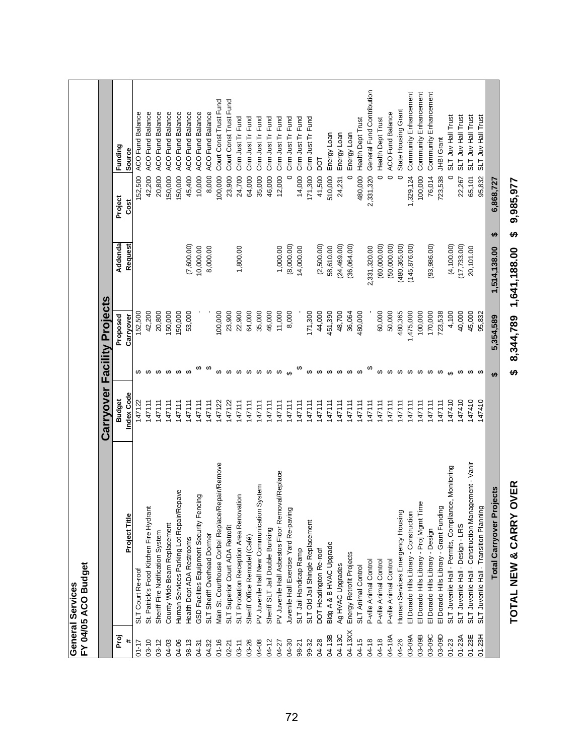|                                         |                             | Funding<br>Project<br>Addenda | Source<br>Cost<br>Request | <b>ACO Fund Balance</b><br>152,500 | <b>ACO Fund Balance</b><br>42,200       | <b>ACO Fund Balance</b><br>20,800 | <b>ACO Fund Balance</b><br>150,000 | <b>ACO Fund Balance</b><br>150,000       | <b>ACO Fund Balance</b><br>45,400<br>(7,600.00) | <b>ACO Fund Balance</b><br>10,000<br>10,000.00 | <b>ACO Fund Balance</b><br>8,000<br>8,000.00 | Court Const Trust Fund<br>100,000                | Court Const Trust Fund<br>23,900 | Crim Just Tr Fund<br>24,700<br>1,800.00 | Crim Just Tr Fund<br>64,000   | Crim Just Tr Fund<br>35,000                  | Crim Just Tr Fund<br>46,000      | Crim Just Tr Fund<br>12,000<br>1,000.00         | Crim Just Tr Fund<br>0<br>(8,000.00)  | Crim Just Tr Fund<br>14,000<br>14,000.00 | Crim Just Tr Fund<br>171,300     | <b>DOT</b><br>41,500<br>(2,500.00) | Energy Loan<br>510,000<br>58,610.00 | Energy Loan<br>24,231<br>(24, 469.00) | Energy Loan<br>$\circ$<br>(36,064.00) | Health Dept Trust<br>480,000     | General Fund Contribution<br>2,331,320<br>2,331,320.00 | Health Dept Trust<br>$\circ$<br>(60,000.00) | <b>ACO Fund Balance</b><br>$\circ$<br>(50,000.00) | State Housing Grant<br>$\circ$<br>(480, 365.00) | Community Enhancement<br>1,329,124<br>(145, 876.00) | Community Enhancement<br>100,000         | Community Enhancement<br>76,014<br>(93, 986.00) | JHBI Grant<br>723,538                   | SLT Juv Hall Trust<br>$\circ$<br>(4,100.00)         | SLT Juv Hall Trust<br>22,267<br>(17, 733.00) | SLT Juv Hall Trust<br>65,101<br>20,101.00           | SLT Juv Hall Trust<br>95,832            | 6,868,727<br>₩<br>1,514,138.00       | 9,985,977<br>မာ<br>8,344,789 1,641,188.00 |
|-----------------------------------------|-----------------------------|-------------------------------|---------------------------|------------------------------------|-----------------------------------------|-----------------------------------|------------------------------------|------------------------------------------|-------------------------------------------------|------------------------------------------------|----------------------------------------------|--------------------------------------------------|----------------------------------|-----------------------------------------|-------------------------------|----------------------------------------------|----------------------------------|-------------------------------------------------|---------------------------------------|------------------------------------------|----------------------------------|------------------------------------|-------------------------------------|---------------------------------------|---------------------------------------|----------------------------------|--------------------------------------------------------|---------------------------------------------|---------------------------------------------------|-------------------------------------------------|-----------------------------------------------------|------------------------------------------|-------------------------------------------------|-----------------------------------------|-----------------------------------------------------|----------------------------------------------|-----------------------------------------------------|-----------------------------------------|--------------------------------------|-------------------------------------------|
|                                         |                             | Proposed                      | Carryover                 | 152,500                            | 42,200                                  | 20,800                            | 150,000                            | 150,000                                  | 53,000                                          |                                                |                                              | 100,000                                          | 23,900                           | 22,900                                  | 64,000                        | 35,000                                       | 46,000                           | 11,000                                          | 8,000                                 |                                          | 171,300                          | 44,000                             | 451,390                             | 48,700                                | 36,064                                | 480,000                          |                                                        | 60,000                                      | 50,000                                            | 480,365                                         | 1,475,000                                           | 100,000                                  | 170,000                                         | 723,538                                 | 4,100                                               | 40,000                                       | 45,000                                              | 95,832                                  | 5,354,589                            |                                           |
|                                         | Carryover Facility Projects | <b>Budget</b>                 | Index Code                | ↔<br>147122                        | ↮<br>147111                             | $\boldsymbol{\varphi}$<br>147111  | 147111                             | $\n  0\n  0\n  0\n$<br>147111            | 147111                                          | 147111                                         | 147111                                       | 147122                                           | <del>ဟေ ဟေ ဟ</del><br>147122     | 147111                                  | 147111                        | ↔<br>147111                                  | $\boldsymbol{\varphi}$<br>147111 | ↮<br>147111                                     | ക<br>147111                           | 147111                                   | $\boldsymbol{\varphi}$<br>147111 | $\theta$<br>147111                 | 147111                              | $\theta$<br>147111                    | 147111                                | $\boldsymbol{\varphi}$<br>147111 | 147111                                                 | ↮<br>147111                                 | $\boldsymbol{\varphi}$<br>147111                  | $\boldsymbol{\varphi}$<br>147111                | $\boldsymbol{\varphi}$<br>147111                    | ↮<br>147111                              | ↮<br>147111                                     | ↮<br>147111                             | $\theta$<br>147410                                  | ↮<br>147410                                  | ↮<br>47410                                          | မာ<br>147410                            | <b>SA</b>                            | မာ                                        |
| FY 04/05 ACO Budget<br>General Services |                             |                               | Project Title             | SLT Court Re-roof                  | St. Patrick's Food Kitchen Fire Hydrant | Sheriff Fire Notification System  | County Wide Beam Replacement       | Human Services Parking Lot Repair/Repave | Health Dept ADA Restrooms                       | GSD Facilites Equipment Security Fencing       | SLT Sheriff Overhead Dormer                  | Main St. Courthouse Corbel Replace/Repair/Remove | SLT Superior Court ADA Retrofit  | SLT Probation Reception Area Renovation | Sheriff Office Remodel (Café) | System<br>PV Juvenile Hall New Communication | Sheriff SLT Jail Double Bunking  | PV Juvenile Hall Asbestos Floor Removal/Replace | Juvenile Hall Exercise Yard Re-paving | SLT Jail Handicap Ramp                   | SLT Old Jail Shingle Replacement | DOT Headington Re-roof             | Bldg A & B HVAC Upgrade             | Ag HVAC Upgrades                      | Energy Retrofit Projects              | <b>SLT Animal Control</b>        | P-ville Animal Control                                 | P-ville Animal Control                      | P-ville Animal Control                            | Human Services Emergency Housing                | El Dorado Hills Library - Construction              | El Dorado Hills Library - Proj Mgmt Time | El Dorado Hills Library - Design                | El Dorado Hills Library - Grant Funding | SLT Juvenile Hall - Permits, Compliance, Monitoring | SLT Juvenile Hall - Design - LRS             | SLT Juvenile Hall - Construction Management - Vanir | SLT Juvenile Hall - Transition Planning | rojects<br><b>Total Carryover Pr</b> | OVER<br>TOTAL NEW & CARRY                 |
|                                         |                             | Proj                          |                           | $01 - 17$                          | $03 - 10$                               | $03 - 12$                         | 04-03                              | 04-06                                    | $98 - 13$                                       | 04-31                                          | 04.32                                        | $01 - 16$                                        | $02 - 21$                        | $03 - 11$                               | 03-26                         | 04-08                                        | 04-12                            | 04-27                                           | 04-30                                 | 98-21                                    | 99-32                            | 04-28                              | 04-13B                              | 04-13C                                | 04-13XX                               | 04-15                            | 04-18                                                  | 04-18                                       | 04-18A                                            | 04-26                                           | 03-09A                                              | 03-09B                                   | 03-09C                                          | 03-09D                                  | $01 - 23$                                           | 01-23A                                       | $01 - 23E$                                          | $01-23H$                                |                                      |                                           |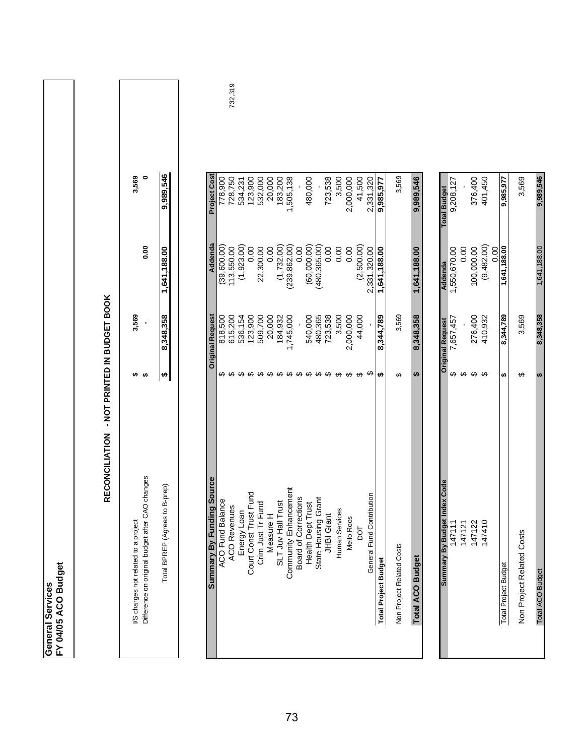| œ<br>٦<br>ω<br>Ù | с<br>п<br>Ξ<br>O<br>Ö٤ |
|------------------|------------------------|
| ŗ                | Ω<br>c                 |

| j<br>֧֧֧֧֪֪֪֧֪֧֚֚֚֚֚֚֚֚֚֚֚֚֚֚֚֚֚֚֚֚֚֚֚֚֚֚֚֡֝֟֓֡֡֡֬֝֝֬֝֓֝֓֝֬֝֬֝֬                                                              |
|------------------------------------------------------------------------------------------------------------------------------|
|                                                                                                                              |
|                                                                                                                              |
|                                                                                                                              |
| ؛                                                                                                                            |
|                                                                                                                              |
| ֧֧֧֧֧֝֝֝֝֝֝֝֝֟֝֬֝֬֝֝֬֝֬֝֝֝֝֟֬֝֬֝֬֝֬֝֟֬֝֬֝֟֓֝֬֝֬֝֬֝֬֝֬<br>֧֧֖֖֧֧֖֧֖֖֧֖֖֧֧֪֪֪֪֪֪֪֪֪֪ׅ֖֧֚֚֚֚֚֚֚֚֚֝֝֬֝֓֝֬֝֓֝֬֝֬֝֬֝֬֝֬֝<br>֧֪֧֚֝֝ |
|                                                                                                                              |
|                                                                                                                              |
|                                                                                                                              |
| I<br>İ                                                                                                                       |
|                                                                                                                              |
| :<br>[                                                                                                                       |
|                                                                                                                              |
| i,                                                                                                                           |
|                                                                                                                              |
| ֺ֧֢ׅ֧֧֦֧ׅ֧֧ׅ֧֦֧ׅ֧ׅ֧ׅ֧֦֧֛֪֪֪֪֪֪֪֪֪֪֪֪֪֪֪֪֪֪֪֪֪֪֪֪֪֪֪֪֪֪֪֚֚֚֚֚֚֚֚֚֚֚֚֚֚֚֚֚֚֚֚֚֝֓֜֓֜֜֓֜֓֜֓֜֜֡֜                                  |
| ī                                                                                                                            |
|                                                                                                                              |
|                                                                                                                              |
| í                                                                                                                            |
|                                                                                                                              |
|                                                                                                                              |
|                                                                                                                              |
|                                                                                                                              |
| 7                                                                                                                            |
|                                                                                                                              |
| j                                                                                                                            |
| ì                                                                                                                            |
|                                                                                                                              |

| 3,569                                   |                                                | ,989,5                          |
|-----------------------------------------|------------------------------------------------|---------------------------------|
|                                         | 8<br>0.0                                       |                                 |
| 3,569                                   |                                                |                                 |
|                                         |                                                |                                 |
| project<br>I/S charges not related to a | Jifference on original budget after CAO change | Agrees to B-prep<br>Total BPREP |

| ng Source<br>Summary By Fundin                                                                       |                    | <b>Original Request</b> | Addenda       | <b>Project Cost</b> |
|------------------------------------------------------------------------------------------------------|--------------------|-------------------------|---------------|---------------------|
| ACO Fund Balance                                                                                     |                    | 818,500                 | (39,600.00)   | 778,900             |
|                                                                                                      |                    | 615,200                 | 113,550.00    | 728,750             |
|                                                                                                      |                    | 536,154                 | (1,923.00)    | 534,231             |
| Fund                                                                                                 |                    | 123,900                 | 0.00          | 123,900             |
| pq<br>ACO Revenues<br>Energy Loan<br>Court Const Trust Fun<br>Crim Just Tr Fund<br>Crim Just Tr Fund |                    | 509,700                 | 22,300.00     | 532,000             |
|                                                                                                      |                    | 20,000                  | 0.00          | 20,000              |
|                                                                                                      | <del>ഗ</del> ഗ ഗ ഗ | 184,932                 | (1, 732.00)   | 183,200             |
| SLT Juv Hall Trust<br>Community Enhancement<br>Board of Corrections                                  |                    | ,745,000                | (239, 862.00) | 1,505,138           |
|                                                                                                      |                    |                         | 0.00          |                     |
| Health Dept Trust                                                                                    | <del>ဟ ဟ ဟ</del>   | 540,000                 | (60,000.00)   | 480,000             |
|                                                                                                      |                    | 480,365                 | (480, 365.00) |                     |
| State Housing Grant<br>JHBI Grant                                                                    | ↔                  | 723,538                 | 0.00          | 723,538             |
| Human Services                                                                                       | ↔                  | 3,500                   | 0.00          | 3,500               |
| <b>Mello Roos</b>                                                                                    |                    | 2,000,000               | 0.00          | 2,000,000           |
| DOT                                                                                                  | မှာ မှာ            | 44,000                  | (2,500.00)    | 41,500              |
| General Fund Contribution                                                                            | ക                  |                         | 2,331,320.00  | 2,331,320           |
| <b>Total Project Budget</b>                                                                          | ↮                  | 8,344,789               | 1,641,188.00  | 9,985,977           |
| Non Project Related Costs                                                                            | ↮                  | 3,569                   |               | 3,569               |
| <b>Total ACO Budget</b>                                                                              | မာ                 | 8,348,358               | 1,641,188.00  | 9,989,546           |
|                                                                                                      |                    |                         |               |                     |
| <b>Idex Code</b><br>Summary By Budget I                                                              |                    | <b>Original Request</b> | Addenda       | <b>Total Budget</b> |
| 147111                                                                                               | ↮                  | 7,657,457               | 1,550,670.00  | 9,208,127           |
| 147121                                                                                               | ↔                  |                         | 0.00          |                     |
| 147122                                                                                               | မာ မာ              | 276,400                 | 100,000.00    | 376,400             |
| 147410                                                                                               |                    | 410,932                 | (9,482.00)    | 401,450             |
|                                                                                                      |                    |                         | 0.00          |                     |
| <b>Total Project Budget</b>                                                                          | ↮                  | 8,344,789               | 1,641,188.00  | 9,985,977           |

3,569 9,989,546

1,641,188.00

Total Project Budget **8,344,789 \$ 1,641,188.00 9,985,977** Non Project Related Costs 3,569 \$ 3,569 Total ACO Budget **8,348,358 \$** 1,641,188.00 **9,989,546**

ø  $\Theta$ 

3,569 8,348,358

Non Project Related Costs

Total ACO Budget

732,319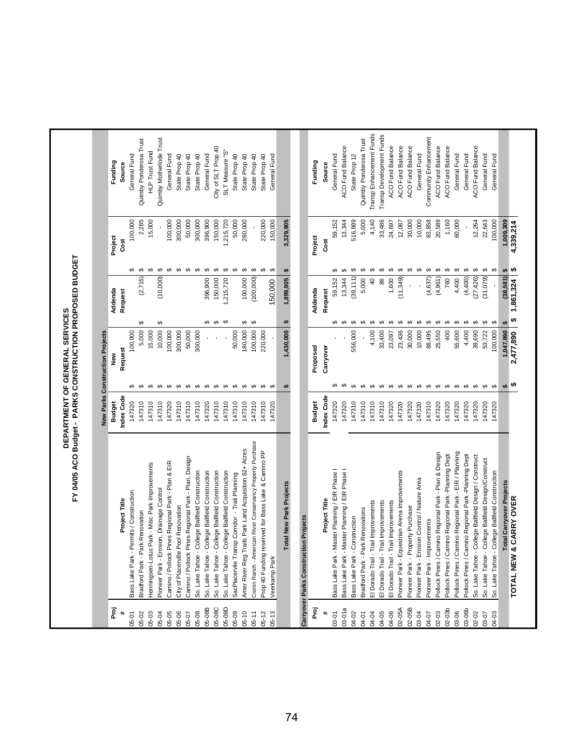|                              | FY 04/05 ACO Budget - PARKS CONSTRUCTION PROPOSED BUDGET                                           |                             |                                    | DEPARTMENT OF GENERAL SERVICES  |                    |                                       |                        |                    |                                         |
|------------------------------|----------------------------------------------------------------------------------------------------|-----------------------------|------------------------------------|---------------------------------|--------------------|---------------------------------------|------------------------|--------------------|-----------------------------------------|
|                              |                                                                                                    |                             |                                    | New Parks Construction Projects |                    |                                       |                        |                    |                                         |
| Proj<br>$\ddot{\phantom{1}}$ | Project Title                                                                                      | Index Code<br><b>Budget</b> |                                    | Request<br>New                  | Addenda<br>Request |                                       | Project<br>Cost        |                    | Funding<br>Source                       |
| 05-01                        | Bass Lake Park - Permits / Construction                                                            | 147320                      |                                    | 100,000                         |                    |                                       |                        | 100,000            | General Fund                            |
| 05-02                        | Park Renovation<br>Bradford Park -                                                                 | 147310                      | မှာ မှာ                            | 5,000                           | ↮                  | (2, 715)                              | $\Theta$               | 2,285              | Quimby Ponderosa Trust                  |
| 05-03                        | Henningsen-Lotus Park - Misc Park Improvements                                                     | 147310                      | ↮                                  | 15,000                          |                    |                                       |                        | 15,000             | <b>HLP Trust Fund</b>                   |
| 05-04                        | Pioneer Park - Erosion, Drainage Control                                                           | 147310                      | ↮                                  | 10,000                          | ↮                  | ↮<br>(10,000)                         |                        |                    | Quimby Motherlode Trust                 |
| 05-05                        | Camino / Pollock Pines Regional Park - Plan & EIR                                                  | 147320                      | ↮                                  | 100,000                         |                    |                                       | $\Theta$               | 100,000            | General Fund                            |
| 05-06                        | City of Placerville Pool Renovation                                                                | 147310                      | $\Theta$                           | 300,000                         |                    | ↔                                     |                        | 300,000            | State Prop 40                           |
| 05-07                        | Camino / Pollock Pines Regional Park - Plan, Design                                                | 147310                      |                                    | 50,000                          |                    | ↔                                     |                        | 50,000             | State Prop 40                           |
| 05-08B<br>05-08              | So. Lake Tahoe - College Ballfield Construction<br>So. Lake Tahoe - College Ballfield Construction | 147310<br>147320            | $\theta$ $\theta$ $\theta$         | 300,000                         |                    | ↮<br>396,900                          |                        | 300,000<br>396,900 | State Prop 40<br>General Fund           |
| 05-08C                       | So. Lake Tahoe - College Ballfield Construction                                                    | 147310                      | $\Theta$                           |                                 | မှာ မှာ            | $\theta$ $\theta$ $\theta$<br>150,000 |                        | 150,000            | City of SLT Prop 40                     |
| 05-08D                       | So. Lake Tahoe - College Ballfield Construction                                                    | 147310                      | $\Theta$                           |                                 | ↮                  | ,215,720                              |                        | ,215,720           | SLT Measure "S"                         |
| 05-09                        | SacPlacervile Transp Corridor - Trail Planning                                                     | 147310                      | $\Theta$                           | 50,000                          |                    | ↮                                     |                        | 50,000             | State Prop 40                           |
| $05 - 10$                    | Amer River Reg Trails Park Land Acquisition 62+ Acres                                              | 147310                      | $\Theta$                           | 180,000                         | ↮                  | ↔<br>100,000                          |                        | 280,000            | State Prop 40                           |
| $05 - 11$                    | Cronin Ranch - American River Conservancy Property Purchase                                        | 147310                      | $\Theta$                           | 100,000                         | ↔                  | (100,000)                             | $\boldsymbol{\varphi}$ |                    | State Prop 40                           |
| $05 - 12$                    | Prop 40 Funding reserved for Bass Lake & Camino PP                                                 | 147310                      | $\Theta$                           | 220,000                         |                    | ↮                                     |                        | 220,000            | State Prop 40                           |
| $05 - 13$                    | Veerkamp Park                                                                                      | 147320                      | $\Theta$                           |                                 |                    | ↮<br>150,000                          |                        | 150,000            | General Fund                            |
|                              | Total New Park Projects                                                                            |                             | ₩                                  | 1,430,000                       | ↮                  | ↮<br>1,899,905                        | 3,329,905              |                    |                                         |
|                              | <b>uction Projects</b><br>Carryover Parks Constr                                                   |                             |                                    |                                 |                    |                                       |                        |                    |                                         |
| Proj                         |                                                                                                    | <b>Budget</b>               |                                    | Proposed                        | Addenda            |                                       | Project                |                    | Funding                                 |
|                              |                                                                                                    |                             |                                    |                                 |                    |                                       |                        |                    |                                         |
| ×                            | Project Title                                                                                      | Index Code                  |                                    | Carryover                       | Request            |                                       | Cost                   |                    | <b>Source</b>                           |
| 03-01a<br>03-01              | Bass Lake Park - Master Planning / EIR Phase I                                                     | 147320                      |                                    |                                 | မာ မာ              | ↮<br>$\Theta$<br>59,152               |                        | 59,152             | General Fund                            |
|                              | Bass Lake Park - Master Planning / EIR Phase I                                                     | 147320                      |                                    |                                 |                    | 13,344                                |                        | 13,344             | ACO Fund Balance                        |
| 04-02<br>04-01               | Park Renovations<br>Bass Lake Park - Construction<br>Bradford Park -                               | 147310<br>147310            | $\Theta$<br>$\boldsymbol{\varphi}$ | 556,000                         | ↮<br>↮             | ↮<br>↮<br>(39, 111)<br>5,000          |                        | 5,000<br>516,889   | Quimby Ponderosa Trust<br>State Prop 12 |
| 04-04                        | - Trail Improvements<br>El Dorado Trail                                                            | 147310                      | $\Theta$                           | 4,100                           | ക                  | ↮<br>$\overline{4}$                   |                        | 4,140              | Transp Enhancement Funds                |
| 04-05                        | - Trail Improvements<br>El Dorado Trail                                                            | 147310                      | $\Theta$                           | 33,400                          | ↮                  | ↮<br>86                               |                        | 33,486             | Transp Development Funds                |
| 04-06                        | - Trail Improvements<br>El Dorado Trail                                                            | 147320                      | ↮                                  | 23,097                          | ↮                  | ↮<br>1,600                            |                        | 24,697             | ACO Fund Balance                        |
| 02-05A                       | Equestrian Arena Improvements<br>Pioneer Park -                                                    | 147320                      | ↮                                  | 23,436                          | ↮                  | ↔<br>(11, 349)                        |                        | 12,087             | <b>ACO Fund Balance</b>                 |
| 02-05B                       | Property Purchase<br>Pioneer Park -                                                                | 147320                      | $\theta$                           | 30,000                          | ↮                  | ↮                                     |                        | 30,000             | ACO Fund Balance                        |
| 03-04                        | Pioneer Park - Erosion Control / Nature Area                                                       | 147320                      |                                    | 10,000                          | ↮                  | ↮                                     |                        | 10,000             | General Fund                            |
| 04-07                        | Improvements<br>Pioneer Park -                                                                     | 147310                      | ↮                                  | 88,495                          | ↮                  | ↔<br>(4,637)                          |                        | 83,858             | Community Enhancement                   |
| 02-03                        | Pollock Pines / Camino Regional Park - Plan & Design                                               | 147320                      | $\boldsymbol{\varphi}$             | 25,550                          | ↮                  | ↔<br>(4,961)                          |                        | 20,589             | ACO Fund Balance                        |
| $02 - 03b$                   | Camino Regional Park -Planning Dept<br>Pollock Pines /                                             | 147320                      | $\Theta$                           | 400                             | ↮                  | ↔<br>760                              |                        | 1,160              | <b>ACO Fund Balance</b>                 |
| 03-06                        | Camino Regional Park - EIR / Planning<br>Pollock Pines /                                           | 147320                      | $\Theta$                           | 55,600                          | ↮                  | ↮<br>4,400                            |                        | 60,000             | General Fund                            |
| 03-06b                       | Camino Regional Park -Planning Dept<br>Pollock Pines /                                             | 147320                      | $\Theta$                           | 4,400                           | ↮                  | (4,400)                               | $\boldsymbol{\varphi}$ |                    | General Fund                            |
| 02-02                        | So. Lake Tahoe - College Ballfield Design / Construct                                              | 147320                      | $\Theta$                           | 39,690                          | ↮                  | ↮<br>(27, 426)                        |                        | 12,264             | ACO Fund Balance                        |
| 03-07                        | So. Lake Tahoe - College Ballfield Design/Construct                                                | 147320                      | ↮                                  | 53,722                          | ↮                  | ↮<br>(31,079)                         |                        | 22,643             | General Fund                            |
| 04-03                        | So. Lake Tahoe - College Ballfield Construction                                                    | 147320                      | $\Theta$                           | 100,000                         | ↮                  | ↮                                     |                        | 100,000            | General Fund                            |
|                              | <b>Total Carryover Projects</b>                                                                    |                             | $\theta$                           | 1,047,890                       |                    | ₩<br>(38, 581)                        | 1,009,309              |                    |                                         |
|                              | <b>V &amp; CARRY OVER</b><br>TOTAL NEV                                                             |                             | ↮                                  | 2,477,890                       | ↮                  | ↮<br>1,861,324                        | 4,339,214              |                    |                                         |
|                              |                                                                                                    |                             |                                    |                                 |                    |                                       |                        |                    |                                         |
|                              |                                                                                                    |                             |                                    |                                 |                    |                                       |                        |                    |                                         |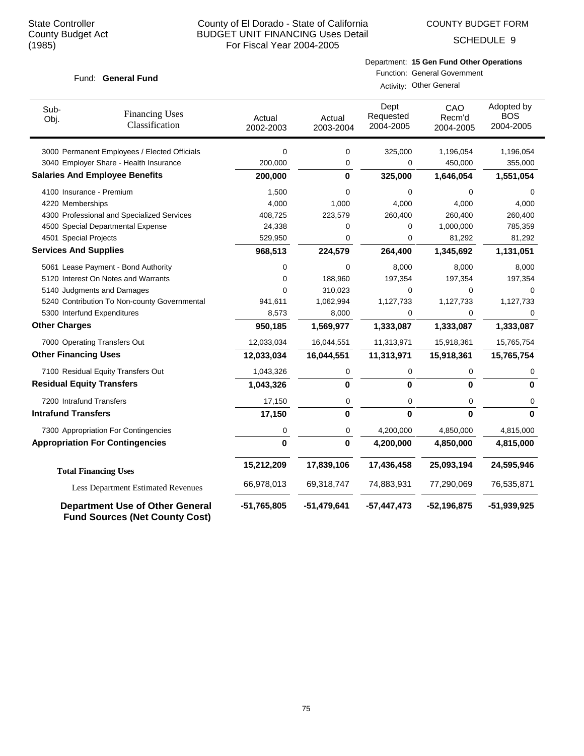COUNTY BUDGET FORM

SCHEDULE 9

# Department: **15 Gen Fund Other Operations**

#### Fund: General Fund

Function: General Government

Activity: Other General

| Sub-<br>Obj.                 | <b>Financing Uses</b><br>Classification                                         | Actual<br>2002-2003 | Actual<br>2003-2004 | Dept<br>Requested<br>2004-2005 | CAO<br>Recm'd<br>2004-2005 | Adopted by<br><b>BOS</b><br>2004-2005 |
|------------------------------|---------------------------------------------------------------------------------|---------------------|---------------------|--------------------------------|----------------------------|---------------------------------------|
|                              | 3000 Permanent Employees / Elected Officials                                    | 0                   | 0                   | 325,000                        | 1,196,054                  | 1,196,054                             |
|                              | 3040 Employer Share - Health Insurance                                          | 200,000             | 0                   | 0                              | 450,000                    | 355,000                               |
|                              | <b>Salaries And Employee Benefits</b>                                           | 200,000             | $\bf{0}$            | 325,000                        | 1,646,054                  | 1,551,054                             |
|                              | 4100 Insurance - Premium                                                        | 1,500               | 0                   | 0                              | $\mathbf 0$                | 0                                     |
| 4220 Memberships             |                                                                                 | 4,000               | 1,000               | 4,000                          | 4,000                      | 4,000                                 |
|                              | 4300 Professional and Specialized Services                                      | 408,725             | 223,579             | 260,400                        | 260,400                    | 260,400                               |
|                              | 4500 Special Departmental Expense                                               | 24,338              | 0                   | 0                              | 1,000,000                  | 785,359                               |
| 4501 Special Projects        |                                                                                 | 529,950             | 0                   | 0                              | 81,292                     | 81,292                                |
| <b>Services And Supplies</b> |                                                                                 | 968,513             | 224,579             | 264,400                        | 1,345,692                  | 1,131,051                             |
|                              | 5061 Lease Payment - Bond Authority                                             | 0                   | 0                   | 8,000                          | 8,000                      | 8,000                                 |
|                              | 5120 Interest On Notes and Warrants                                             | 0                   | 188,960             | 197,354                        | 197,354                    | 197,354                               |
|                              | 5140 Judgments and Damages                                                      | 0                   | 310,023             | 0                              | 0                          | 0                                     |
|                              | 5240 Contribution To Non-county Governmental                                    | 941,611             | 1,062,994           | 1,127,733                      | 1,127,733                  | 1,127,733                             |
|                              | 5300 Interfund Expenditures                                                     | 8,573               | 8,000               | 0                              | 0                          | 0                                     |
| <b>Other Charges</b>         |                                                                                 | 950,185             | 1,569,977           | 1,333,087                      | 1,333,087                  | 1,333,087                             |
|                              | 7000 Operating Transfers Out                                                    | 12,033,034          | 16,044,551          | 11,313,971                     | 15,918,361                 | 15,765,754                            |
| <b>Other Financing Uses</b>  |                                                                                 | 12,033,034          | 16,044,551          | 11,313,971                     | 15,918,361                 | 15,765,754                            |
|                              | 7100 Residual Equity Transfers Out                                              | 1,043,326           | 0                   | 0                              | 0                          | 0                                     |
|                              | <b>Residual Equity Transfers</b>                                                | 1,043,326           | $\mathbf{0}$        | $\mathbf{0}$                   | $\bf{0}$                   | $\bf{0}$                              |
|                              | 7200 Intrafund Transfers                                                        | 17,150              | 0                   | 0                              | $\mathbf 0$                | 0                                     |
| <b>Intrafund Transfers</b>   |                                                                                 | 17,150              | 0                   | $\bf{0}$                       | O                          | $\bf{0}$                              |
|                              | 7300 Appropriation For Contingencies                                            | 0                   | 0                   | 4,200,000                      | 4,850,000                  | 4,815,000                             |
|                              | <b>Appropriation For Contingencies</b>                                          | $\mathbf{0}$        | 0                   | 4,200,000                      | 4,850,000                  | 4,815,000                             |
|                              | <b>Total Financing Uses</b>                                                     | 15,212,209          | 17,839,106          | 17,436,458                     | 25,093,194                 | 24,595,946                            |
|                              | <b>Less Department Estimated Revenues</b>                                       | 66,978,013          | 69,318,747          | 74,883,931                     | 77,290,069                 | 76,535,871                            |
|                              | <b>Department Use of Other General</b><br><b>Fund Sources (Net County Cost)</b> | $-51,765,805$       | -51,479,641         | $-57,447,473$                  | $-52,196,875$              | $-51,939,925$                         |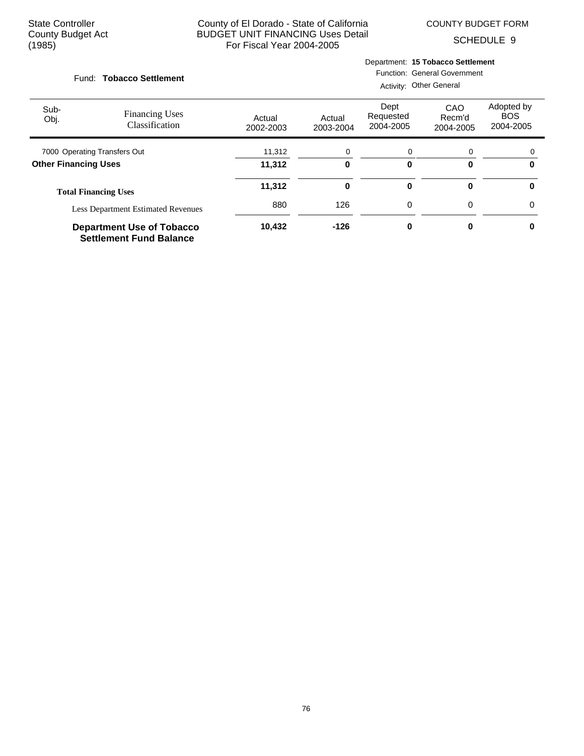COUNTY BUDGET FORM

Department: **15 Tobacco Settlement**

SCHEDULE 9

|              | Fund: Tobacco Settlement                                           | <b>Function: General Government</b><br>Activity: Other General |                     |                                |                            |                                       |  |
|--------------|--------------------------------------------------------------------|----------------------------------------------------------------|---------------------|--------------------------------|----------------------------|---------------------------------------|--|
| Sub-<br>Obj. | <b>Financing Uses</b><br>Classification                            | Actual<br>2002-2003                                            | Actual<br>2003-2004 | Dept<br>Requested<br>2004-2005 | CAO<br>Recm'd<br>2004-2005 | Adopted by<br><b>BOS</b><br>2004-2005 |  |
|              | 7000 Operating Transfers Out                                       | 11,312                                                         | 0                   | 0                              | 0                          |                                       |  |
|              | <b>Other Financing Uses</b>                                        | 11,312                                                         | 0                   | 0                              | 0                          | 0                                     |  |
|              | <b>Total Financing Uses</b>                                        | 11,312                                                         | 0                   | 0                              | 0                          | $\bf{0}$                              |  |
|              | <b>Less Department Estimated Revenues</b>                          | 880                                                            | 126                 | 0                              | 0                          | $\Omega$                              |  |
|              | <b>Department Use of Tobacco</b><br><b>Settlement Fund Balance</b> | 10,432                                                         | $-126$              | 0                              | 0                          | 0                                     |  |

76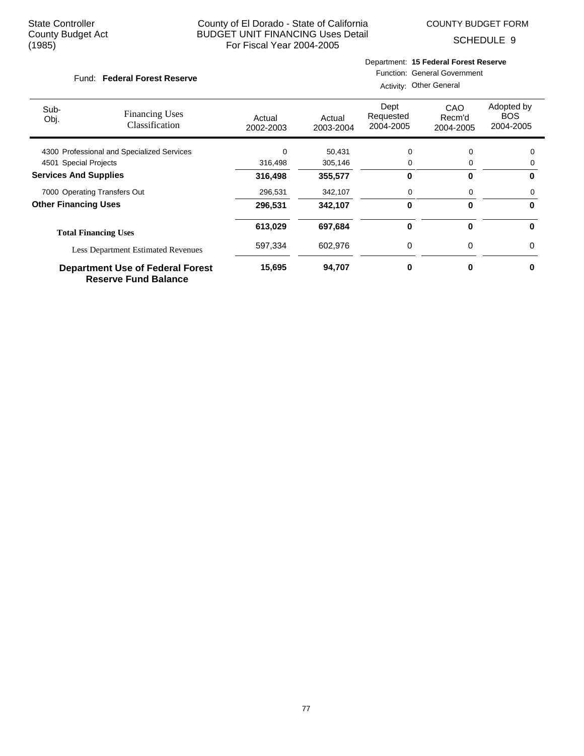COUNTY BUDGET FORM

SCHEDULE 9

#### Fund: Federal Forest Reserve

#### Department: **15 Federal Forest Reserve** Function: General Government

Activity: Other General

| Sub-<br>Obj.                 | <b>Financing Uses</b><br>Classification                                | Actual<br>2002-2003 | Actual<br>2003-2004 | Dept<br>Requested<br>2004-2005 | CAO<br>Recm'd<br>2004-2005 | Adopted by<br><b>BOS</b><br>2004-2005 |
|------------------------------|------------------------------------------------------------------------|---------------------|---------------------|--------------------------------|----------------------------|---------------------------------------|
|                              | 4300 Professional and Specialized Services                             | $\Omega$            | 50,431              | $\Omega$                       | $\Omega$                   | 0                                     |
| 4501 Special Projects        |                                                                        | 316,498             | 305,146             | 0                              | 0                          | 0                                     |
| <b>Services And Supplies</b> |                                                                        | 316,498             | 355,577             | 0                              | 0                          | 0                                     |
|                              | 7000 Operating Transfers Out                                           | 296,531             | 342,107             | 0                              | 0                          | 0                                     |
| <b>Other Financing Uses</b>  |                                                                        | 296,531             | 342,107             | 0                              | $\bf{0}$                   | 0                                     |
|                              | <b>Total Financing Uses</b>                                            | 613,029             | 697,684             | 0                              | 0                          | 0                                     |
|                              | <b>Less Department Estimated Revenues</b>                              | 597,334             | 602,976             | $\Omega$                       | 0                          | 0                                     |
|                              | <b>Department Use of Federal Forest</b><br><b>Reserve Fund Balance</b> | 15,695              | 94,707              | 0                              | 0                          | 0                                     |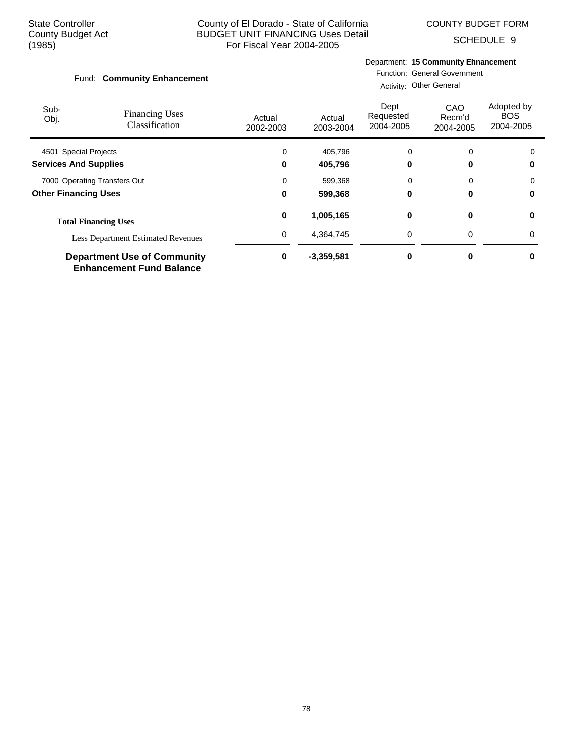COUNTY BUDGET FORM

SCHEDULE 9

#### Department: **15 Community Ehnancement**

#### Fund: Community Enhancement

Function: General Government Activity: Other General

| Sub-<br>Obj.                 | <b>Financing Uses</b><br>Classification                               | Actual<br>2002-2003 | Actual<br>2003-2004 | Dept<br>Requested<br>2004-2005 | CAO<br>Recm'd<br>2004-2005 | Adopted by<br><b>BOS</b><br>2004-2005 |
|------------------------------|-----------------------------------------------------------------------|---------------------|---------------------|--------------------------------|----------------------------|---------------------------------------|
| 4501 Special Projects        |                                                                       | 0                   | 405,796             | 0                              | 0                          | 0                                     |
| <b>Services And Supplies</b> |                                                                       | 0                   | 405,796             | 0                              | O                          | 0                                     |
| 7000 Operating Transfers Out |                                                                       | 0                   | 599,368             | 0                              | 0                          | 0                                     |
| <b>Other Financing Uses</b>  |                                                                       | 0                   | 599,368             | 0                              | $\bf{0}$                   | 0                                     |
|                              | <b>Total Financing Uses</b>                                           | 0                   | 1,005,165           | 0                              | 0                          | 0                                     |
|                              | <b>Less Department Estimated Revenues</b>                             | 0                   | 4,364,745           | 0                              | 0                          | 0                                     |
|                              | <b>Department Use of Community</b><br><b>Enhancement Fund Balance</b> | 0                   | $-3,359,581$        | ŋ                              | ŋ                          | O                                     |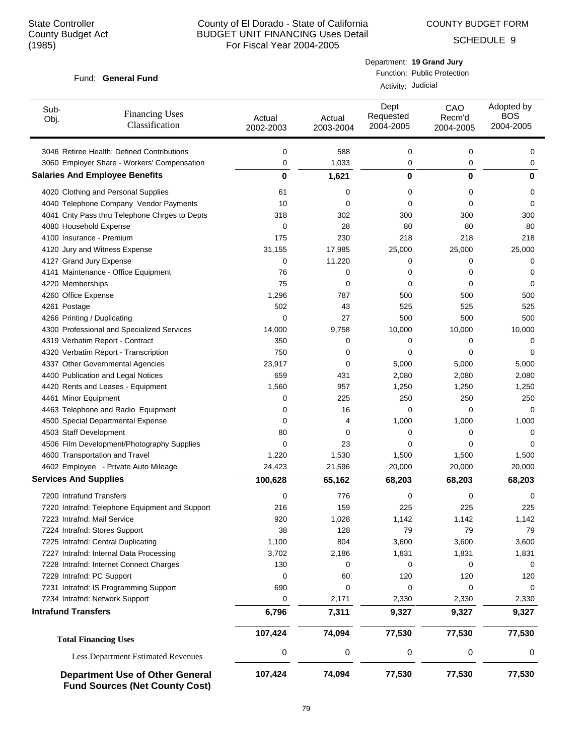COUNTY BUDGET FORM

Department: **19 Grand Jury**

SCHEDULE 9

Adopted by BOS 2004-2005

#### Actual 2002-2003 Actual 2003-2004 Dept Requested 2004-2005 Fund: General Fund Sub-Obj. Function: Public Protection Activity: Judicial CAO Recm'd 2004-2005 Financing Uses Classification 3046 Retiree Health: Defined Contributions 0 588 0 0 0 3060 Employer Share - Workers' Compensation 
(a)  $\begin{array}{ccc} 0 & 1,033 & 0 & 0 \end{array}$ **Salaries And Employee Benefits 0 1,621 0 0 0** 4020 Clothing and Personal Supplies 61 0 0 0 0 4040 Telephone Company Vendor Payments 10 0 0 0 0 4041 Cnty Pass thru Telephone Chrges to Depts 318 302 300 300 300 4080 Household Expense 0 28 80 80 80 4100 Insurance - Premium 175 230 218 218 218 4120 Jury and Witness Expense 31,155 17,985 25,000 25,000 25,000 4127 Grand Jury Expense 0 11,220 0 0 0 4141 Maintenance - Office Equipment 76 0 0 0 0 4220 Memberships **6 1220 Memberships 6 1220 Memberships** 6 1220 Memberships 6 220 Memberships 6 220 Memberships 6 220 Memberships 6 220 Memberships 6 220 Memberships 6 220 Memberships 6 220 Memberships 6 220 Memberships 6 4260 Office Expense 1,296 1,296 787 500 500 500 500 500 500 4261 Postage 502 43 525 525 525 4266 Printing / Duplicating 0 27 500 500 500 4300 Professional and Specialized Services 14,000 9,758 10,000 10,000 10,000 4319 Verbatim Report - Contract and Contract and Contract and Contract and Contract and Contract and Contract o 4320 Verbatim Report - Transcription and the control of the control of the control of the control of the control of the control of the control of the control of the control of the control of the control of the control of t 4337 Other Governmental Agencies 23,917 0 5,000 5,000 5,000 5,000 4400 Publication and Legal Notices 659 431 2,080 2,080 2,080 4420 Rents and Leases - Equipment 1,560 957 1,250 1,250 1,250 4461 Minor Equipment 0 225 250 250 250 4463 Telephone and Radio Equipment 0 16 0 0 0 4500 Special Departmental Expense 1,000  $\begin{array}{cccc} 0 & 4 & 1,000 & 1,000 & 1,000 \end{array}$ 4503 Staff Development 80 0 0 0 0 4506 Film Development/Photography Supplies 0 23 0 0 0 4600 Transportation and Travel 1,220 1,530 1,500 1,500 1,500 4602 Employee - Private Auto Mileage 24,423 21,596 20,000 20,000 20,000 **Services And Supplies 100,628 65,162 68,203 68,203 68,203** 7200 Intrafund Transfers 0 776 0 0 0

Less Department Estimated Revenues 000 0 <sup>0</sup> **Department Use of Other General 107,424 74,094 77,530 77,530 77,530 Fund Sources (Net County Cost)**

**107,424 74,094 77,530 77,530 77,530 Total Financing Uses**

7220 Intrafnd: Telephone Equipment and Support 216 159 225 225 225 7223 Intrafnd: Mail Service 1,142 1,142 1,142 1,142 1,142 1,142 7224 Intrafnd: Stores Support 38 128 79 79 79 7225 Intrafnd: Central Duplicating 1,100 804 3,600 3,600 3,600 3,600 7227 Intrafnd: Internal Data Processing  $3,702$  2,186 1,831 1,831 1,831 1,831 1,831 7228 Intrafnd: Internet Connect Charges 130 0 0 0 0 7229 Intrafnd: PC Support 120 120 120 120 120 120 120 120 120 7231 Intrafnd: IS Programming Support 690 0 0 0 0 7234 Intrafnd: Network Support 0 2,171 2,330 2,330 2,330 **Intrafund Transfers 6,796 7,311 9,327 9,327 9,327**